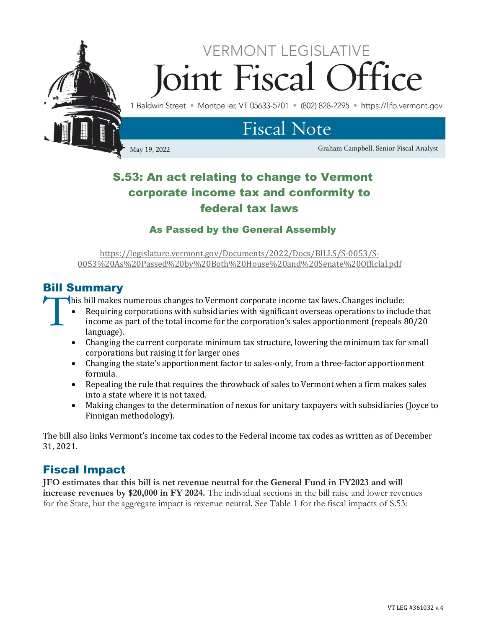

## S.53: An act relating to change to Vermont corporate income tax and conformity to federal tax laws

### As Passed by the General Assembly

[https://legislature.vermont.gov/Documents/2022/Docs/BILLS/S-0053/S-](https://legislature.vermont.gov/Documents/2022/Docs/BILLS/S-0053/S-0053%20As%20Passed%20by%20Both%20House%20and%20Senate%20Official.pdf)[0053%20As%20Passed%20by%20Both%20House%20and%20Senate%20Official.pdf](https://legislature.vermont.gov/Documents/2022/Docs/BILLS/S-0053/S-0053%20As%20Passed%20by%20Both%20House%20and%20Senate%20Official.pdf)

## Bill Summary

his bill makes numerous changes to Vermont corporate income tax laws. Changes include: **T** 

- Requiring corporations with subsidiaries with significant overseas operations to include that income as part of the total income for the corporation's sales apportionment (repeals 80/20 language).
- Changing the current corporate minimum tax structure, lowering the minimum tax for small corporations but raising it for larger ones
- Changing the state's apportionment factor to sales-only, from a three-factor apportionment formula.
- Repealing the rule that requires the throwback of sales to Vermont when a firm makes sales into a state where it is not taxed.
- Making changes to the determination of nexus for unitary taxpayers with subsidiaries (Joyce to Finnigan methodology).

The bill also links Vermont's income tax codes to the Federal income tax codes as written as of December 31, 2021.

## Fiscal Impact

**JFO estimates that this bill is net revenue neutral for the General Fund in FY2023 and will increase revenues by \$20,000 in FY 2024.** The individual sections in the bill raise and lower revenues for the State, but the aggregate impact is revenue neutral. See Table 1 for the fiscal impacts of S.53: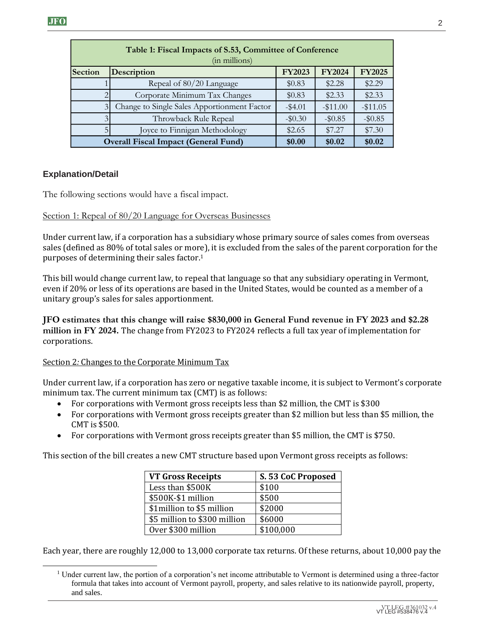|                | Table 1: Fiscal Impacts of S.53, Committee of Conference<br>(in millions)                                                                                                                                                                                                                                                                                                                                                                                                                                                                                                                                                                                             |                    |               |               |
|----------------|-----------------------------------------------------------------------------------------------------------------------------------------------------------------------------------------------------------------------------------------------------------------------------------------------------------------------------------------------------------------------------------------------------------------------------------------------------------------------------------------------------------------------------------------------------------------------------------------------------------------------------------------------------------------------|--------------------|---------------|---------------|
| Section        | Description                                                                                                                                                                                                                                                                                                                                                                                                                                                                                                                                                                                                                                                           | <b>FY2023</b>      | <b>FY2024</b> | <b>FY2025</b> |
| 1              | Repeal of 80/20 Language                                                                                                                                                                                                                                                                                                                                                                                                                                                                                                                                                                                                                                              | \$0.83             | \$2.28        | \$2.29        |
| $\overline{2}$ | Corporate Minimum Tax Changes                                                                                                                                                                                                                                                                                                                                                                                                                                                                                                                                                                                                                                         | \$0.83             | \$2.33        | \$2.33        |
| $\overline{3}$ | Change to Single Sales Apportionment Factor                                                                                                                                                                                                                                                                                                                                                                                                                                                                                                                                                                                                                           | $-$ \$4.01         | $-$11.00$     | $-$ \$11.05   |
| $\overline{3}$ | Throwback Rule Repeal                                                                                                                                                                                                                                                                                                                                                                                                                                                                                                                                                                                                                                                 | $-$0.30$           | $-$ \$0.85    | $-$0.85$      |
| 5              | Joyce to Finnigan Methodology                                                                                                                                                                                                                                                                                                                                                                                                                                                                                                                                                                                                                                         | \$2.65             | \$7.27        | \$7.30        |
|                | <b>Overall Fiscal Impact (General Fund)</b>                                                                                                                                                                                                                                                                                                                                                                                                                                                                                                                                                                                                                           | \$0.00             | \$0.02        | \$0.02        |
| ation/Detail   | lowing sections would have a fiscal impact.<br>1: Repeal of 80/20 Language for Overseas Businesses<br>urrent law, if a corporation has a subsidiary whose primary source of sales comes fron<br>efined as 80% of total sales or more), it is excluded from the sales of the parent corpor<br>es of determining their sales factor. <sup>1</sup><br>l would change current law, to repeal that language so that any subsidiary operating in<br>20% or less of its operations are based in the United States, would be counted as a men<br>group's sales for sales apportionment.<br>timates that this change will raise \$830,000 in General Fund revenue in FY 2023 a |                    |               |               |
| tions.         | in FY 2024. The change from FY2023 to FY2024 reflects a full tax year of implementa<br>2. Changes to the Corporate Minimum Tax                                                                                                                                                                                                                                                                                                                                                                                                                                                                                                                                        |                    |               |               |
| CMT is \$500.  | urrent law, if a corporation has zero or negative taxable income, it is subject to Vermor<br>m tax. The current minimum tax (CMT) is as follows:<br>For corporations with Vermont gross receipts less than \$2 million, the CMT is \$300<br>For corporations with Vermont gross receipts greater than \$2 million but less than \$5<br>For corporations with Vermont gross receipts greater than \$5 million, the CMT is \$750                                                                                                                                                                                                                                        |                    |               |               |
|                | tion of the bill creates a new CMT structure based upon Vermont gross receipts as foll                                                                                                                                                                                                                                                                                                                                                                                                                                                                                                                                                                                |                    |               |               |
|                | <b>VT Gross Receipts</b>                                                                                                                                                                                                                                                                                                                                                                                                                                                                                                                                                                                                                                              | S. 53 CoC Proposed |               |               |
|                | Less than \$500K                                                                                                                                                                                                                                                                                                                                                                                                                                                                                                                                                                                                                                                      | \$100              |               |               |
|                | \$500K-\$1 million                                                                                                                                                                                                                                                                                                                                                                                                                                                                                                                                                                                                                                                    | \$500              |               |               |
|                | \$1million to \$5 million                                                                                                                                                                                                                                                                                                                                                                                                                                                                                                                                                                                                                                             | \$2000             |               |               |
|                | \$5 million to \$300 million                                                                                                                                                                                                                                                                                                                                                                                                                                                                                                                                                                                                                                          | \$6000             |               |               |
|                | Over \$300 million                                                                                                                                                                                                                                                                                                                                                                                                                                                                                                                                                                                                                                                    | \$100,000          |               |               |
| and sales.     | ar, there are roughly 12,000 to 13,000 corporate tax returns. Of these returns, about 1<br>der current law, the portion of a corporation's net income attributable to Vermont is determined using<br>formula that takes into account of Vermont payroll, property, and sales relative to its nationwide payr                                                                                                                                                                                                                                                                                                                                                          |                    |               |               |

#### **Explanation/Detail**

The following sections would have a fiscal impact.

#### Section 1: Repeal of 80/20 Language for Overseas Businesses

Under current law, if a corporation has a subsidiary whose primary source of sales comes from overseas sales (defined as 80% of total sales or more), it is excluded from the sales of the parent corporation for the purposes of determining their sales factor. 1

This bill would change current law, to repeal that language so that any subsidiary operating in Vermont, even if 20% or less of its operations are based in the United States, would be counted as a member of a unitary group's sales for sales apportionment.

**JFO estimates that this change will raise \$830,000 in General Fund revenue in FY 2023 and \$2.28 million in FY 2024.** The change from FY2023 to FY2024 reflects a full tax year of implementation for corporations.

#### Section 2*:* Changes to the Corporate Minimum Tax

Under current law, if a corporation has zero or negative taxable income, it is subject to Vermont's corporate minimum tax. The current minimum tax (CMT) is as follows:

- For corporations with Vermont gross receipts less than \$2 million, the CMT is \$300
- For corporations with Vermont gross receipts greater than \$2 million but less than \$5 million, the CMT is \$500.
- For corporations with Vermont gross receipts greater than \$5 million, the CMT is \$750.

This section of the bill creates a new CMT structure based upon Vermont gross receipts as follows:

| <b>VT Gross Receipts</b>     | S. 53 CoC Proposed |  |  |
|------------------------------|--------------------|--|--|
| Less than \$500K             | \$100              |  |  |
| \$500K-\$1 million           | \$500              |  |  |
| \$1 million to \$5 million   | \$2000             |  |  |
| \$5 million to \$300 million | \$6000             |  |  |
| Over \$300 million           | \$100,000          |  |  |

Each year, there are roughly 12,000 to 13,000 corporate tax returns. Of these returns, about 10,000 pay the

<sup>&</sup>lt;sup>1</sup> Under current law, the portion of a corporation's net income attributable to Vermont is determined using a three-factor formula that takes into account of Vermont payroll, property, and sales relative to its nationwide payroll, property,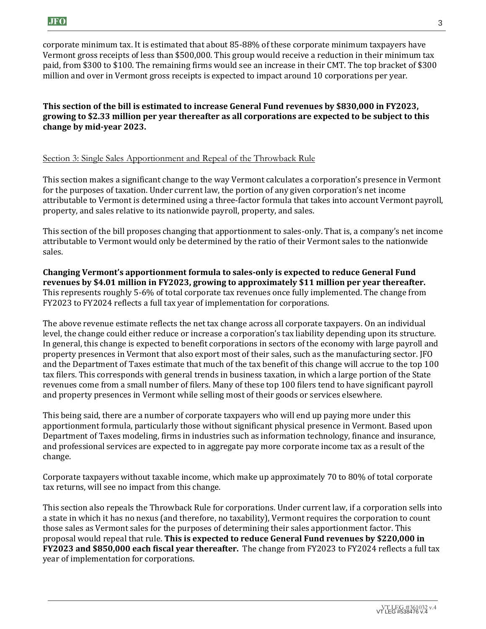corporate minimum tax. It is estimated that about 85-88% of these corporate minimum taxpayers have Vermont gross receipts of less than \$500,000. This group would receive a reduction in their minimum tax paid, from \$300 to \$100. The remaining firms would see an increase in their CMT. The top bracket of \$300 million and over in Vermont gross receipts is expected to impact around 10 corporations per year.

#### **This section of the bill is estimated to increase General Fund revenues by \$830,000 in FY2023, growing to \$2.33 million per year thereafter as all corporations are expected to be subject to this change by mid-year 2023.**

#### Section 3: Single Sales Apportionment and Repeal of the Throwback Rule

This section makes a significant change to the way Vermont calculates a corporation's presence in Vermont for the purposes of taxation. Under current law, the portion of any given corporation's net income attributable to Vermont is determined using a three-factor formula that takes into account Vermont payroll, property, and sales relative to its nationwide payroll, property, and sales.

This section of the bill proposes changing that apportionment to sales-only. That is, a company's net income attributable to Vermont would only be determined by the ratio of their Vermont sales to the nationwide sales.

**Changing Vermont's apportionment formula to sales-only is expected to reduce General Fund revenues by \$4.01 million in FY2023, growing to approximately \$11 million per year thereafter.**  This represents roughly 5-6% of total corporate tax revenues once fully implemented. The change from FY2023 to FY2024 reflects a full tax year of implementation for corporations.

The above revenue estimate reflects the net tax change across all corporate taxpayers. On an individual level, the change could either reduce or increase a corporation's tax liability depending upon its structure. In general, this change is expected to benefit corporations in sectors of the economy with large payroll and property presences in Vermont that also export most of their sales, such as the manufacturing sector. JFO and the Department of Taxes estimate that much of the tax benefit of this change will accrue to the top 100 tax filers. This corresponds with general trends in business taxation, in which a large portion of the State revenues come from a small number of filers. Many of these top 100 filers tend to have significant payroll and property presences in Vermont while selling most of their goods or services elsewhere.

This being said, there are a number of corporate taxpayers who will end up paying more under this apportionment formula, particularly those without significant physical presence in Vermont. Based upon Department of Taxes modeling, firms in industries such as information technology, finance and insurance, and professional services are expected to in aggregate pay more corporate income tax as a result of the change.

Corporate taxpayers without taxable income, which make up approximately 70 to 80% of total corporate tax returns, will see no impact from this change.

This section also repeals the Throwback Rule for corporations. Under current law, if a corporation sells into a state in which it has no nexus (and therefore, no taxability), Vermont requires the corporation to count those sales as Vermont sales for the purposes of determining their sales apportionment factor. This proposal would repeal that rule. **This is expected to reduce General Fund revenues by \$220,000 in FY2023 and \$850,000 each fiscal year thereafter.** The change from FY2023 to FY2024 reflects a full tax year of implementation for corporations.